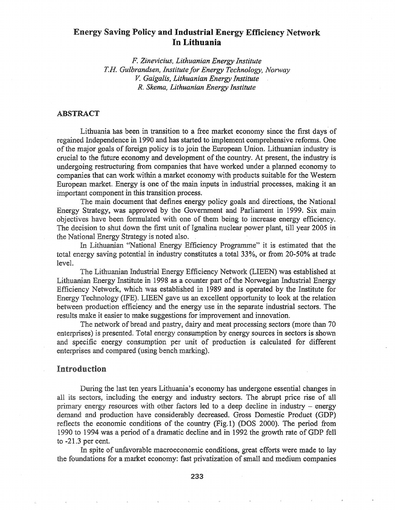# Energy Saving Policy and Industrial Energy Efficiency Network In Lithuania

*F. Zinevicius, Lithuanian Energy Institute* T.R *Gulbrandsen, Institute for Energy Technology, Norway* V. *Gaigalis, Lithuanian Energy Institute* R. *Skema, Lithuanian Energy Institute*

### ABSTRACT

Lithuania has been in transition to a free market economy since the first days of regained Independence in 1990 and has started to implement comprehensive refonns. One of the major goals of foreign policy is to join the European Union. Lithuanian industry is crucial to the future economy and development of the country. At present, the industry is undergoing restructuring from companies that have worked under a planned'economy to companies that can work within a market economy with products suitable for the Western European market. Energy is one of the main inputs in industrial processes, making it an important component in this transition process.

The main document that defmes energy policy goals and directions, the National Energy Strategy, was approved by the Government and Parliament in 1999. Six main objectives have been formulated with one· of them being to increase energy efficiency. The decision to shut down the first unit of Ignalina nuclear power plant, till year 2005 in the National Energy Strategy is noted also.

Lithuanian "National Energy Efficiency Programme" it is estimated that the total energy saving potential in industry constitutes a total 33%, or from 20-50% at trade level.

The Lithuanian Industrial Energy Efficiency Netvvork (LIEEN) was established at Lithuanian Energy Institute in 1998 as a counter part of the Norwegian Industrial Energy Efficiency Netvvork, which was established in 1989 and is operated by the Institute for Energy Technology (IFE). LIEEN gave us an excellent opportunity to look at the relation between production efficiency and the energy use in the separate industrial sectors. The results make it easier to make suggestions for improvement and innovation.

The network of bread and pastry, dairy and meat processing sectors (more than 70 enterprises) is presented. Total energy consumption by energy sources in sectors is shown and specific energy consumption per unit of production is calculated for different enterprises and compared (using bench marking).

### Introduction

During the last ten years Lithuania's economy has undergone essential changes in all its sectors, including the energy and industry sectors. The abrupt price rise of all primary energy resources with other factors led to a deep decline in industry – energy demand and production have considerably decreased. Gross Domestic Product (GDP) reflects the economic conditions of the country (Fig.l) (DOS 2000). The period from 1990 to 1994 was a period of a dramatic decline and in 1992 the growth rate of GDP fell to  $-21.3$  per cent.

In spite of unfavorable macroeconomic conditions, great efforts were made to lay the foundations for a market economy: fast privatization of small and medium companies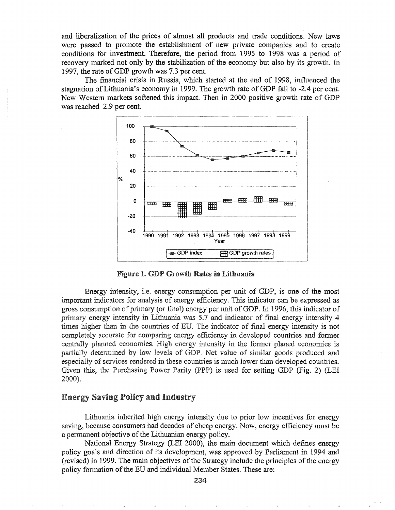and liberalization of the prices of almost all products and trade conditions. New laws were passed to promote the establishment of new private companies and to create conditions for investment. Therefore, the period from 1995 to 1998 was a period of recovery marked not only by the stabilization of the economy but also by its growth. In 1997, the rate of GDP growth was 7.3 per cent.

The financial crisis in Russia, which started at the end of 1998, influenced the stagnation of Lithuania's economy in 1999. The growth rate of GDP fall to -2.4 per cent. New Western markets softened this impact. Then in 2000 positive growth rate of GDP was reached 2.9 per cent.



**Figure 1. GDP Growth Rates in Lithuania** 

Energy intensity, i.e. energy consumption per unit of GDP, is one of the most important indicators for analysis of energy efficiency. This indicator can be expressed as gross consumption of primary (or final) energy per unit of GDP. In 1996, this indicator of primary energy intensity in Lithuania was 5.7 and indicator of final energy intensity 4 times higher than in the countries of EU. The indicator of final energy intensity is not completely accurate for comparing energy efficiency in developed countries and former centrally planned economies. High energy intensity in the former planed economies is partially determined by low levels of GDP. Net value of similar goods produced and especially of services rendered in these countries is much lower than developed countries. Given this, the Purchasing Power Parity (PPP) is used for setting GDP (Fig. 2) (LEI 2000).

### **Energy Saving Policy and Industry**

Lithuania inherited high energy intensity due to prior low incentives for energy saying, because consumers had decades of cheap energy. Now, energy efficiency must be a permanent objective of the Lithuanian energy policy.

National Energy Strategy (LEI 2000), the main document which defines energy policy goals and direction of its development, was approved by Parliament in 1994 and (revised) in 1999. The main objectives of the Strategy include the principles of the energy policy formation of the EU and individual Member States. These are: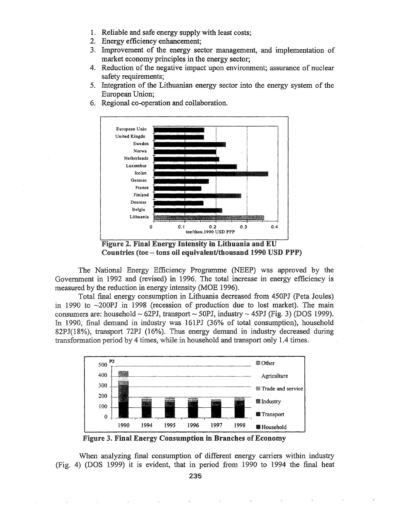- 1. Reliable and safe energy supply with least costs;
- 2. Energy efficiency enhancement;
- 3. Improvement of the energy sector management, and implementation of market economy principles in the energy sector;
- 4. Reduction of the negative impact upon environment; assurance of nuclear safety requirements:
- 5. Integration of the Lithuanian energy sector into the energy system of the European Union;



6. Regional co-operation and collaboration.

Figure 2. Final Energy Intensity in Lithuania and EU Countries (toe -- tons oil equivalent/thousand 1990 USD PPP)

The National Energy Efficiency Programme (NEEP) was approved by the Government in 1992 and (revised) in 1996. The total increase in energy efficiency is measured by the reduction in energy intensity (MOE 1996).

Total final energy consumption in Lithuania decreased from 450PJ (Peta Joules) in 1990 to  $\sim$ 200PJ in 1998 (recession of production due to lost market). The main consumers are: household  $\sim$  62PJ, transport  $\sim$  50PJ, industry  $\sim$  45PJ (Fig. 3) (DOS 1999). In 1990, final demand in industry was 161PJ (36% of total consumption), household 82PJ(18%), transport 72PJ (16%). Thus energy demand in industry decreased during transformation period by 4 times, while in household and transport only 1.4 times.



Figure 3. Final Energy Consumption in Branches of Economy

When analyzing final consumption of different energy carriers within industry (Fig. 4) (DOS 1999) it is evident, that in period from 1990 to 1994 the final heat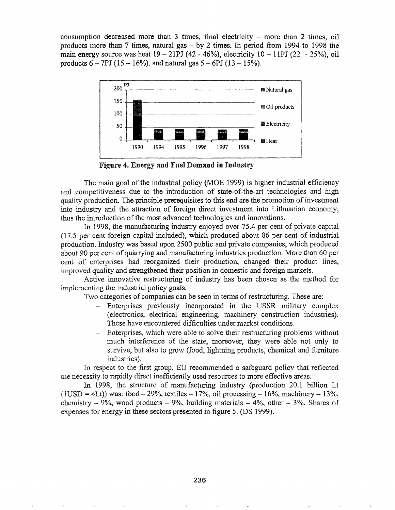consumption decreased more than  $3$  times, final electricity  $-$  more than  $2$  times, oil products more than 7 times, natural gas  $-$  by 2 times. In period from 1994 to 1998 the main energy source was heat  $19 - 21PI (42 - 46%)$ , electricity  $10 - 11PI (22 - 25%)$ , oil products  $6 - 7PJ (15 - 16\%)$ , and natural gas  $5 - 6PI (13 - 15\%)$ .



Figure 4. Energy and Fuel Demand in Industry

The main goal of the industrial policy (MOE 1999) is higher industrial efficiency and competitiveness due to the introduction of state-of-the-art technologies and high quality production. The principle prerequisites to this end are the promotion of investment into industry and the attraction of foreign direct investment into Lithuanian economy, thus the introduction of the most advanced technologies and innovations.

In 1998, the manufacturing industry enjoyed over 75.4 per cent of private capital (17.5 per cent foreign capital included), which produced about 86 per cent of industrial production. Industry was based upon 2500 public and private companies, which produced about 90 per cent of quarrying and manufacturing industries production. More than 60 per cent of enterprises had reorganized their production, changed their product lines, improved quality and strengthened their position in domestic and foreign markets.

Active innovative restructuring of industry has been chosen as the method for implementing the industrial policy goals.

Two categories of companies can be seen in terms of restructuring. These are:

- Enterprises previously incorporated in the USSR military complex (electronics, electrical engineering, machinery construction industries). These have encountered difficulties under market conditions.
- Enterprises, which were able to solve their restructuring problems without much interference of the state, moreover, they were able not only to survive, but also to grow (food, lightning products, chemical and furniture industries).

In respect to the first group, EU recommended a safeguard policy that reflected the necessity to rapidly direct inefficiently used resources to more effective areas.

In 1998, the structure of manufacturing industry (production 20.1 billion Lt  $(1USD = 4Lt)$ ) was: food  $- 29\%$ , textiles  $- 17\%$ , oil processing  $- 16\%$ , machinery  $- 13\%$ , chemistry  $- 9\%$ , wood products  $- 9\%$ , building materials  $- 4\%$ , other  $- 3\%$ . Shares of expenses for energy in these sectors presented in figure 5. (DS 1999).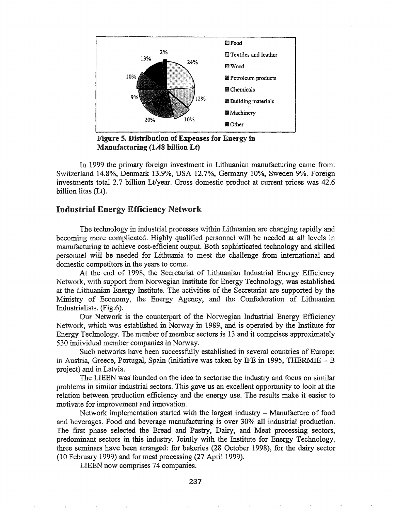

Figure 5. Distribution of Expenses for Energy in Manufacturing  $(1.48$  billion Lt)

In 1999 the primary foreign investment in Lithuanian manufacturing came from: Switzerland 14.8%, Denmark 13.9%, USA 12.7%, Germany 10%, Sweden 9%. Foreign investments total 2.7 billion Lt/year. Gross domestic product at current prices was 42.6 billion litas (Lt).

### Industrial Energy Efficiency Network

The technology in industrial processes within Lithuanian are changing rapidly and becoming more complicated. Highly qualified personnel will be needed at all levels in manufacturing to achieve cost-efficient output. Both sophisticated technology and skilled personnel will be needed for Lithuania to meet the challenge from international and domestic competitors in the years to come.

At the end of 1998, the Secretariat of Lithuanian Industrial Energy Efficiency Network, with support from Norwegian Institute for Energy Technology, was established at the Lithuanian Energy Institute. The activities of the Secretariat are supported by the Ministry of Economy, the Energy Agency, and the Confederation of Lithuanian Industrialists. (Fig.6).

. Network is the counterpart of the Norwegian Industrial Energy Efficiency Network, which was established in Norway in 1989, and is operated by the Institute for Energy Technology. The number of member sectors is 13 and it comprises approximately 530 individual member companies in Norway.

Such networks have been successfully established in several countries of Europe: Austria, Greece, Portugal, Spain (initiative was taken by IFE in 1995, THERMIE - B project) and in Latvia.

The LIEEN was founded on the idea to sectorise the industry and focus on similar problems in similar industrial sectors. This gave us an excellent opportunity to look at the relation between production efficiency and the energy use. The results make it easier to motivate for improvement and innovation.

Network implementation started with the largest industry  $-$  Manufacture of food and beverages. Food and beverage manufacturing is over 30% all industrial production. The first phase selected the Bread and Pastry, Dairy, and Meat processing sectors, predominant sectors in this industry. Jointly with the Institute for Energy Technology, three seminars have been arranged: for bakeries (28 October 1998), for the dairy sector (10 February 1999) and for meat processing (27 April 1999).

LIEEN now comprises 74 companies.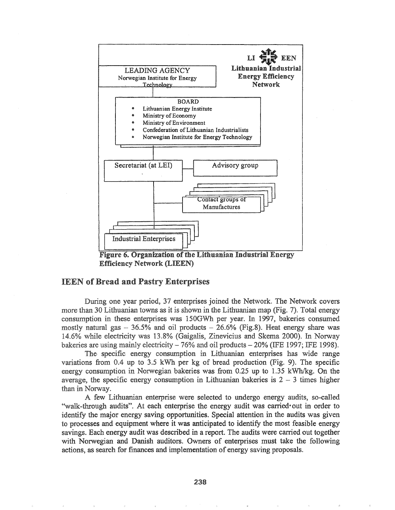

Efficiency Network (LIEEN)

### **IEEN of Bread and Pastry Enterprises**

During one year period, 37 enterprises joined the Network. The Network covers more than 30 Lithuanian towns as it is shown in the Lithuanian map (Fig. 7). Total energy consumption in these enterprises was 150GWh per year. In 1997, bakeries consumed mostly natural gas  $-36.5\%$  and oil products  $-26.6\%$  (Fig.8). Heat energy share was 14.6% while electricity was 13.8% (Gaigalis, Zinevicius and Skema 2000). In Norway bakeries are using mainly electricity  $-76\%$  and oil products  $-20\%$  (IFE 1997; IFE 1998).

The specific energy consumption in Lithuanian enterprises has wide range variations from  $0.4$  up to  $3.5$  kWh per kg of bread production (Fig. 9). The specific energy consumption in Norwegian bakeries was from  $0.25$  up to  $1.35$  kWh/kg. On the average, the specific energy consumption in Lithuanian bakeries is  $2 - 3$  times higher than in Norway.

few Lithuanian enterprise were selected to undergo energy audits, so-called "walk-through audits". At each enterprise the energy audit was carried out in order to identify the major energy saving opportunities. Special attention in the audits was given to processes and equipment where it was anticipated to identify the most feasible energy savings. Each energy audit was described in a report. The audits were carried out together with Norwegian and Danish auditors. Owners of enterprises must take the following actions, as search for finances and implementation of energy saving proposals.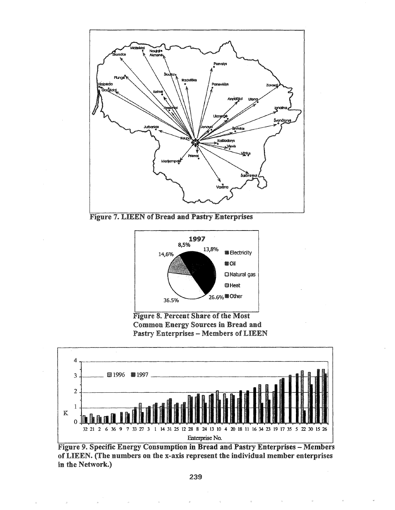

**Figure 7. LIEEN of Bread and Pastry Enterprises** 



**Figure 8. Percent Share of the Most Common Energy Sources in Bread and Pastry Enterprises - Members of LIEEN** 



Figure 9. Specific Energy Consumption in Bread and Pastry Enterprises - Members of LIEEN. (The numbers on the x-axis represent the individual member enterprises in the Network.)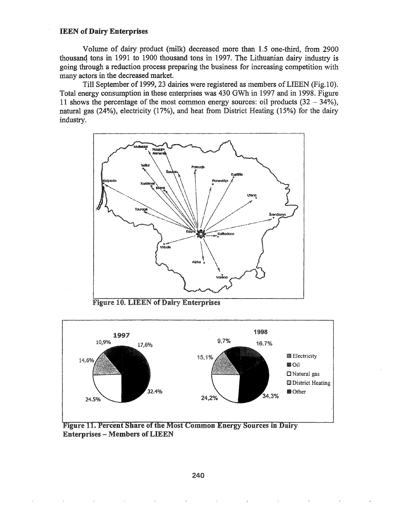#### **IEEN of Dairy Enterprises**

Volume of dairy product (milk) decreased more than 1.5 one-third, from 2900 thousand tons in 1991 to 1900 thousand tons in 1997. The Lithuanian dairy industry is going through a reduction process preparing the business for increasing competition with many actors in the decreased market.

Till September of 1999, 23 dairies were registered as members ofLIEEN (Fig.lO). Total energy consumption in these enterprises was 430 GWh in 1997 and in 1998. Figure 11 shows the percentage of the most common energy sources: oil products  $(32 - 34\%)$ , natural gas (24%), electricity (17%), and heat from District Heating (15%) for the dairy industry.



Figure 10. LIEEN of Dairy Enterprises



Figure 11. Percent Share of the Most Common Energy Sources in Dairy **Enterprises - Members of LIEEN**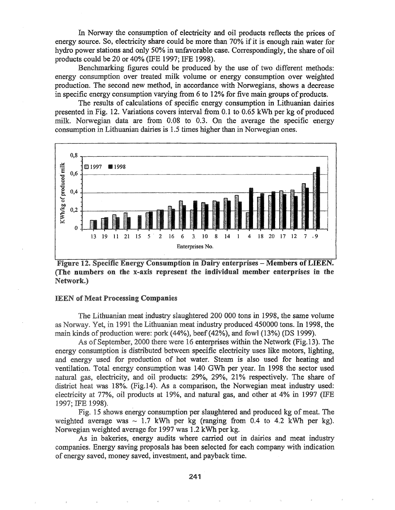In Norway the consumption of electricity and oil products reflects the prices of energy source. So, electricity share could be more than 70% if it is enough rain water for hydro power stations and only 50% in unfavorable case. Correspondingly, the share of oil products could be 20 or 40% (IFE 1997; IFE 1998).

Benchmarking figures could be produced by the use of two different methods: energy consumption over treated milk volume or energy consumption over weighted production. The second new method, in accordance with Norwegians, shows a decrease in specific energy consumption varying from 6 to 12% for five main groups of products.

The results of calculations of specific energy consumption in Lithuanian dairies presented in Fig. 12. Variations covers interval from 0.1 to 0.65 kWh per kg of produced milk. Norwegian data are from 0.08 to 0.3. On the average the specific energy consumption in Lithuanian dairies is 1.5 times higher than in Norwegian ones.



Figure 12. Specific Energy Consumption in Dairy enterprises - Members of LIEEN. (The numbers on the x-axis represent the individual member enterprises in the Network.)

#### **IEEN of Meat Processing Companies**

The Lithuanian meat industry slaughtered 200 000 tons in 1998, the same volume as Norway. Yet, in 1991 the Lithuanian meat industry produced 450000 tons. In 1998, the main kinds of production were: pork (44%), beef (42%), and fowl (13%) (DS 1999).

As of September, 2000 there were 16 enterprises within the Network (Fig.13). The energy consumption is distributed between specific electricity uses like motors, lighting, and energy used for production of hot water. Steam is also used for heating and ventilation. Total energy consumption was 140 GWh per year. In 1998 the sector used natural gas, electricity, and oil products: 29%, 29%, 21% respectively. The share of district heat was 18%. (Fig.14). As a comparison, the Norwegian meat industry used: electricity at 77%, oil products at 19%, and natural gas, and other at 4% in 1997 (IFE 1997; IFE 1998).

Fig. 15 shows energy consumption per slaughtered and produced kg of meat. The weighted average was  $\sim 1.7$  kWh per kg (ranging from 0.4 to 4.2 kWh per kg). Norwegian weighted average for 1997 was 1.2 kWh per kg.

As in bakeries, energy audits where carried out in dairies and meat industry companies. Energy saving proposals has been selected for each company with indication of energy saved, money saved, investment, and payback time.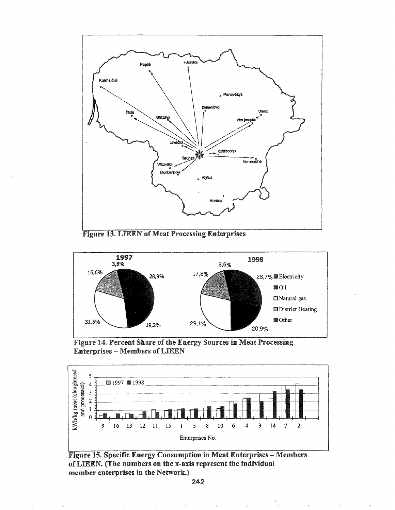

**Figure 13. LIEEN of Meat Processing Enterprises** 



Figure 14. Percent Share of the Energy Sources in Meat Processing **Enterprises - Members of LIEEN** 



**Figure 15. Specific Energy Consumption in Meat Enterprises - Members** of LIEEN. (The numbers on the x-axis represent the individual member enterprises in the Network.)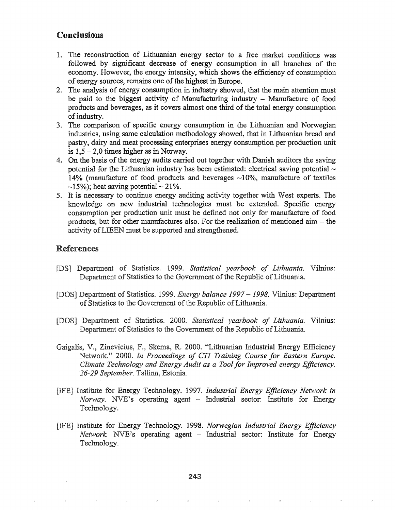# Conclusions

- 1. The reconstruction of Lithuanian energy sector to a free market conditions was followed by significant decrease of energy consumption in all branches of the economy. However, the energy intensity, which shows the efficiency of consumption of energy sources, remains one of the highest in Europe.
- 2. The analysis of energy consumption in industry showed, that the main attention must be paid to the biggest activity of Manufacturing industry - Manufacture of food products and beverages, as it covers almost one third of the total energy consumption ofindustry.
- 3. The- comparison of specific energy consumption in the Lithuanian and Norwegian industries, using same calculation methodology showed, that in Lithuanian bread and pastry, dairy and meat processing enterprises energy consumption per production unit is  $1,5 - 2,0$  times higher as in Norway.
- 4. On the basis of the energy audits carried out together with Danish auditors the saving potential for the Lithuanian industry has been estimated: electrical saving potential  $\sim$ 14% (manufacture of food products and beverages  $\sim$ 10%, manufacture of textiles  $\sim$ 15%); heat saving potential  $\sim$  21%.
- 5. It is necessary to continue energy auditing activity together with West experts. The knowledge on new industrial technologies must be extended. Specific energy consumption per production unit must be defined not only for manufacture of food products, but for other manufactures also. For the realization of mentioned aim - the activity of LIEEN must be supported and strengthened.

## References

- [DS] Department of Statistics. 1999. *Statistical yearbook of Lithuania*. Vilnius: Department of Statistics to the Government of the Republic of Lithuania.
- [DOS] Department of Statistics. 1999. *Energy balance 1997 1998*. Vilnius: Department of Statistics to the Government of the Republic of Lithuania.
- [DOS] Department of Statistics. 2000. *Statistical yearbook of Lithuania*. Vilnius: Department of Statistics to the Government of the Republic of Lithuania.
- Gaigalis, V., Zinevicius, F., Skema, R. 2000. "Lithuanian Industrial Energy Efficiency Network." 2000. In Proceedings of CTI Training Course for Eastern Europe. *Climate Technology and Energy Audit as a Tool for Improved energy Efficiency. ·26-29 September.* Estonia
- [IFE] Institute for Energy Technology. 1997. *Industrial Energy Efficiency Network in Norway*. NVE's operating agent - Industrial sector: Institute for Energy Technology.
- Institute for Energy Technologys 1998. *Norwegian Industrial Energy Efficiency Network*. NVE's operating agent - Industrial sector: Institute for Energy Technology.